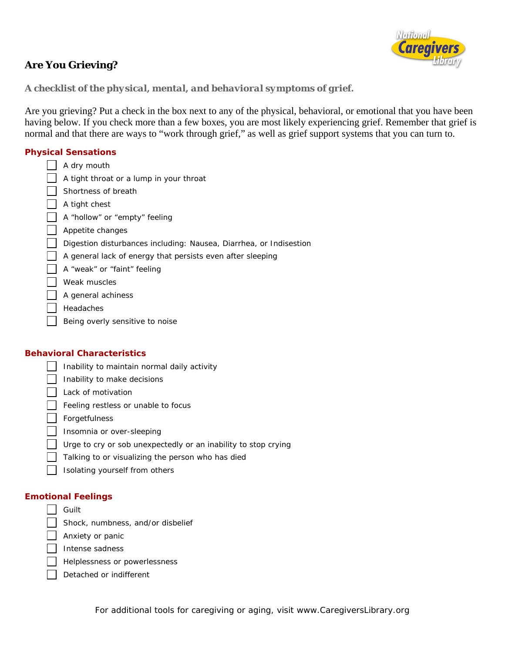

# **Are You Grieving?**

## *A checklist of the physical, mental, and behavioral symptoms of grief.*

Are you grieving? Put a check in the box next to any of the physical, behavioral, or emotional that you have been having below. If you check more than a few boxes, you are most likely experiencing grief. Remember that grief is normal and that there are ways to "work through grief," as well as grief support systems that you can turn to.

## **Physical Sensations**

|  | A dry mouth                                                        |
|--|--------------------------------------------------------------------|
|  | A tight throat or a lump in your throat                            |
|  | Shortness of breath                                                |
|  | A tight chest                                                      |
|  | A "hollow" or "empty" feeling                                      |
|  | Appetite changes                                                   |
|  | Digestion disturbances including: Nausea, Diarrhea, or Indisestion |
|  | A general lack of energy that persists even after sleeping         |
|  | A "weak" or "faint" feeling                                        |
|  | Weak muscles                                                       |
|  | A general achiness                                                 |
|  | Headaches                                                          |
|  | Being overly sensitive to noise                                    |
|  |                                                                    |

#### **Behavioral Characteristics**

|  | Inability to maintain normal daily activity                    |
|--|----------------------------------------------------------------|
|  | Inability to make decisions                                    |
|  | Lack of motivation                                             |
|  | Feeling restless or unable to focus                            |
|  | Forgetfulness                                                  |
|  | Insomnia or over-sleeping                                      |
|  | Urge to cry or sob unexpectedly or an inability to stop crying |
|  | Talking to or visualizing the person who has died              |
|  | Isolating yourself from others                                 |
|  |                                                                |

### **Emotional Feelings**

| Guilt                                                                                               |
|-----------------------------------------------------------------------------------------------------|
| Shock, numbness, and/or disbelief                                                                   |
| Anxiety or panic                                                                                    |
| $\overline{\phantom{a}}$ $\overline{\phantom{a}}$ $\overline{\phantom{a}}$ $\overline{\phantom{a}}$ |

- Intense sadness
	- Helplessness or powerlessness
- $\Box$  Detached or indifferent

For additional tools for caregiving or aging, visit www.CaregiversLibrary.org